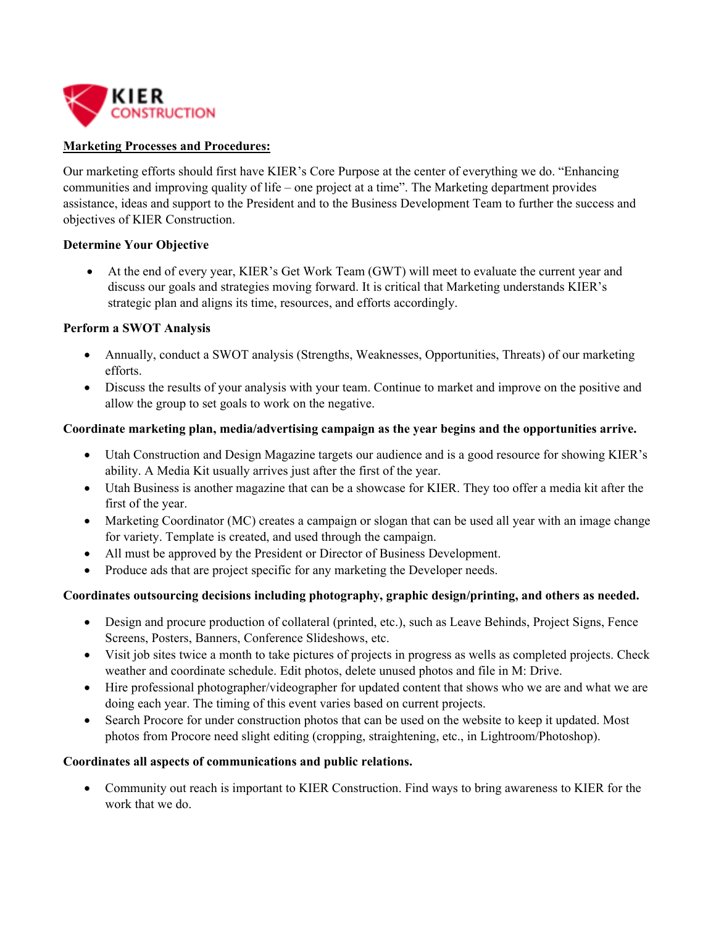

### **Marketing Processes and Procedures:**

Our marketing efforts should first have KIER's Core Purpose at the center of everything we do. "Enhancing communities and improving quality of life – one project at a time". The Marketing department provides assistance, ideas and support to the President and to the Business Development Team to further the success and objectives of KIER Construction.

## **Determine Your Objective**

 At the end of every year, KIER's Get Work Team (GWT) will meet to evaluate the current year and discuss our goals and strategies moving forward. It is critical that Marketing understands KIER's strategic plan and aligns its time, resources, and efforts accordingly.

#### **Perform a SWOT Analysis**

- Annually, conduct a SWOT analysis (Strengths, Weaknesses, Opportunities, Threats) of our marketing efforts.
- Discuss the results of your analysis with your team. Continue to market and improve on the positive and allow the group to set goals to work on the negative.

#### **Coordinate marketing plan, media/advertising campaign as the year begins and the opportunities arrive.**

- Utah Construction and Design Magazine targets our audience and is a good resource for showing KIER's ability. A Media Kit usually arrives just after the first of the year.
- Utah Business is another magazine that can be a showcase for KIER. They too offer a media kit after the first of the year.
- Marketing Coordinator (MC) creates a campaign or slogan that can be used all year with an image change for variety. Template is created, and used through the campaign.
- All must be approved by the President or Director of Business Development.
- Produce ads that are project specific for any marketing the Developer needs.

# **Coordinates outsourcing decisions including photography, graphic design/printing, and others as needed.**

- Design and procure production of collateral (printed, etc.), such as Leave Behinds, Project Signs, Fence Screens, Posters, Banners, Conference Slideshows, etc.
- Visit job sites twice a month to take pictures of projects in progress as wells as completed projects. Check weather and coordinate schedule. Edit photos, delete unused photos and file in M: Drive.
- Hire professional photographer/videographer for updated content that shows who we are and what we are doing each year. The timing of this event varies based on current projects.
- Search Procore for under construction photos that can be used on the website to keep it updated. Most photos from Procore need slight editing (cropping, straightening, etc., in Lightroom/Photoshop).

#### **Coordinates all aspects of communications and public relations.**

 Community out reach is important to KIER Construction. Find ways to bring awareness to KIER for the work that we do.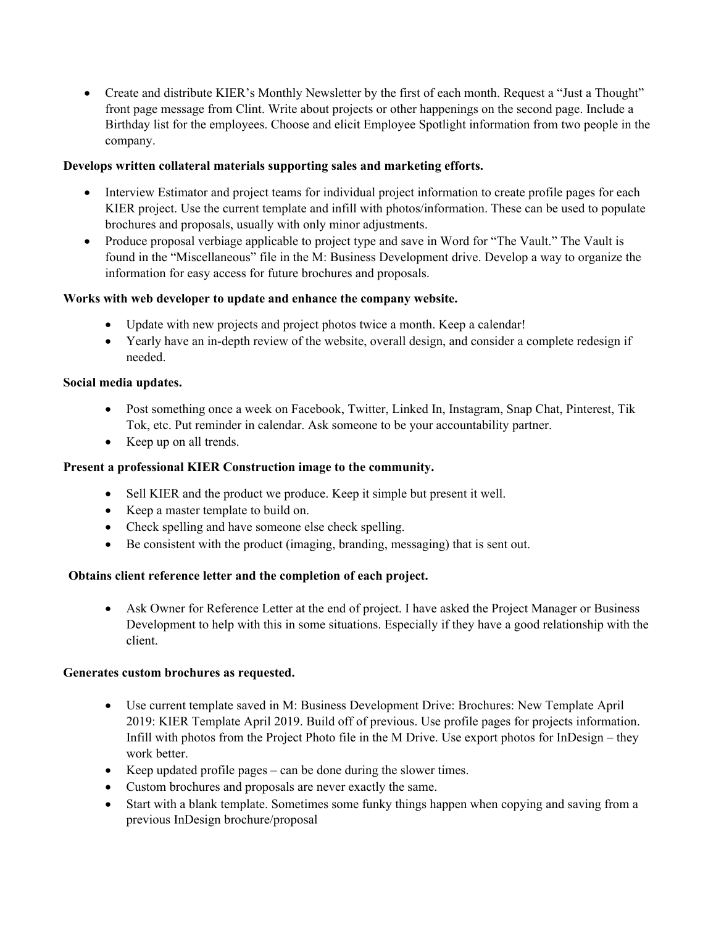Create and distribute KIER's Monthly Newsletter by the first of each month. Request a "Just a Thought" front page message from Clint. Write about projects or other happenings on the second page. Include a Birthday list for the employees. Choose and elicit Employee Spotlight information from two people in the company.

## **Develops written collateral materials supporting sales and marketing efforts.**

- Interview Estimator and project teams for individual project information to create profile pages for each KIER project. Use the current template and infill with photos/information. These can be used to populate brochures and proposals, usually with only minor adjustments.
- Produce proposal verbiage applicable to project type and save in Word for "The Vault." The Vault is found in the "Miscellaneous" file in the M: Business Development drive. Develop a way to organize the information for easy access for future brochures and proposals.

## **Works with web developer to update and enhance the company website.**

- Update with new projects and project photos twice a month. Keep a calendar!
- Yearly have an in-depth review of the website, overall design, and consider a complete redesign if needed.

### **Social media updates.**

- Post something once a week on Facebook, Twitter, Linked In, Instagram, Snap Chat, Pinterest, Tik Tok, etc. Put reminder in calendar. Ask someone to be your accountability partner.
- Keep up on all trends.

### **Present a professional KIER Construction image to the community.**

- Sell KIER and the product we produce. Keep it simple but present it well.
- Keep a master template to build on.
- Check spelling and have someone else check spelling.
- Be consistent with the product (imaging, branding, messaging) that is sent out.

#### **Obtains client reference letter and the completion of each project.**

 Ask Owner for Reference Letter at the end of project. I have asked the Project Manager or Business Development to help with this in some situations. Especially if they have a good relationship with the client.

#### **Generates custom brochures as requested.**

- Use current template saved in M: Business Development Drive: Brochures: New Template April 2019: KIER Template April 2019. Build off of previous. Use profile pages for projects information. Infill with photos from the Project Photo file in the M Drive. Use export photos for InDesign – they work better.
- Keep updated profile pages can be done during the slower times.
- Custom brochures and proposals are never exactly the same.
- Start with a blank template. Sometimes some funky things happen when copying and saving from a previous InDesign brochure/proposal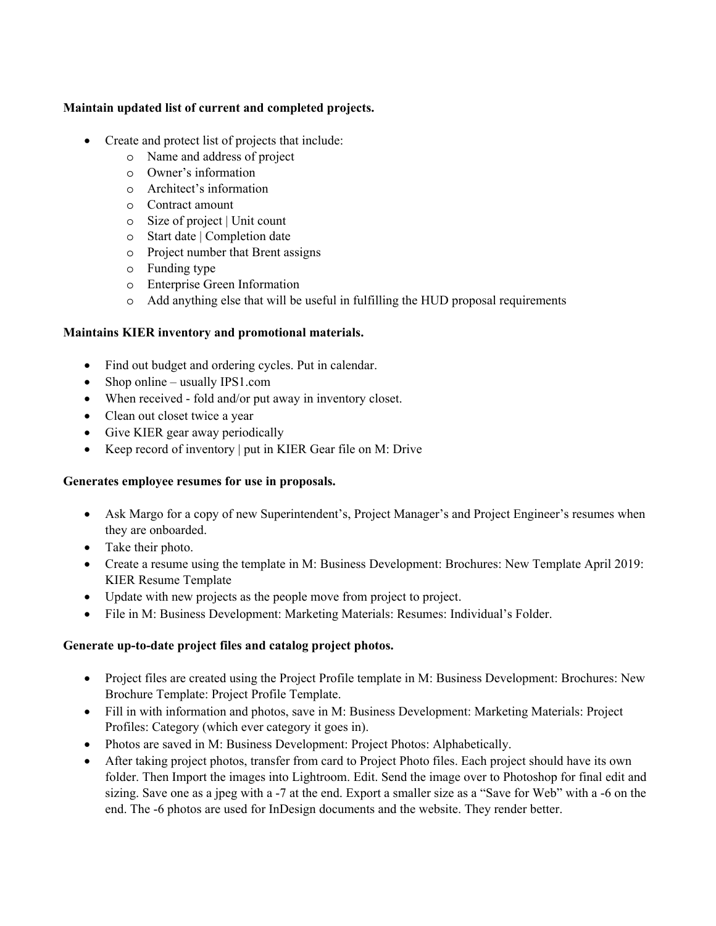# **Maintain updated list of current and completed projects.**

- Create and protect list of projects that include:
	- o Name and address of project
	- o Owner's information
	- o Architect's information
	- o Contract amount
	- o Size of project | Unit count
	- o Start date | Completion date
	- o Project number that Brent assigns
	- o Funding type
	- o Enterprise Green Information
	- o Add anything else that will be useful in fulfilling the HUD proposal requirements

# **Maintains KIER inventory and promotional materials.**

- Find out budget and ordering cycles. Put in calendar.
- Shop online usually IPS1.com
- When received fold and/or put away in inventory closet.
- Clean out closet twice a year
- Give KIER gear away periodically
- Keep record of inventory | put in KIER Gear file on M: Drive

# **Generates employee resumes for use in proposals.**

- Ask Margo for a copy of new Superintendent's, Project Manager's and Project Engineer's resumes when they are onboarded.
- Take their photo.
- Create a resume using the template in M: Business Development: Brochures: New Template April 2019: KIER Resume Template
- Update with new projects as the people move from project to project.
- File in M: Business Development: Marketing Materials: Resumes: Individual's Folder.

# **Generate up-to-date project files and catalog project photos.**

- Project files are created using the Project Profile template in M: Business Development: Brochures: New Brochure Template: Project Profile Template.
- Fill in with information and photos, save in M: Business Development: Marketing Materials: Project Profiles: Category (which ever category it goes in).
- Photos are saved in M: Business Development: Project Photos: Alphabetically.
- After taking project photos, transfer from card to Project Photo files. Each project should have its own folder. Then Import the images into Lightroom. Edit. Send the image over to Photoshop for final edit and sizing. Save one as a jpeg with a -7 at the end. Export a smaller size as a "Save for Web" with a -6 on the end. The -6 photos are used for InDesign documents and the website. They render better.